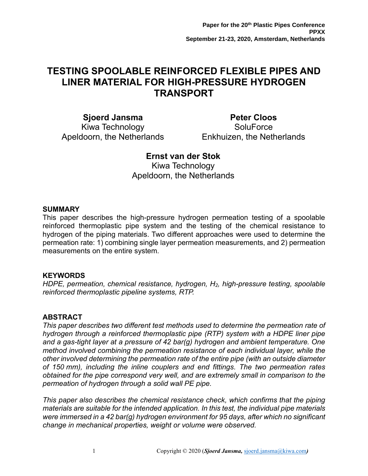# **TESTING SPOOLABLE REINFORCED FLEXIBLE PIPES AND LINER MATERIAL FOR HIGH-PRESSURE HYDROGEN TRANSPORT**

**Sjoerd Jansma** Kiwa Technology Apeldoorn, the Netherlands

**Peter Cloos SoluForce** Enkhuizen, the Netherlands

# **Ernst van der Stok**

Kiwa Technology Apeldoorn, the Netherlands

### **SUMMARY**

This paper describes the high-pressure hydrogen permeation testing of a spoolable reinforced thermoplastic pipe system and the testing of the chemical resistance to hydrogen of the piping materials. Two different approaches were used to determine the permeation rate: 1) combining single layer permeation measurements, and 2) permeation measurements on the entire system.

# **KEYWORDS**

*HDPE, permeation, chemical resistance, hydrogen, H2, high-pressure testing, spoolable reinforced thermoplastic pipeline systems, RTP.*

# **ABSTRACT**

*This paper describes two different test methods used to determine the permeation rate of hydrogen through a reinforced thermoplastic pipe (RTP) system with a HDPE liner pipe and a gas-tight layer at a pressure of 42 bar(g) hydrogen and ambient temperature. One method involved combining the permeation resistance of each individual layer, while the other involved determining the permeation rate of the entire pipe (with an outside diameter of 150 mm), including the inline couplers and end fittings. The two permeation rates obtained for the pipe correspond very well, and are extremely small in comparison to the permeation of hydrogen through a solid wall PE pipe.* 

*This paper also describes the chemical resistance check, which confirms that the piping materials are suitable for the intended application. In this test, the individual pipe materials were immersed in a 42 bar(g) hydrogen environment for 95 days, after which no significant change in mechanical properties, weight or volume were observed.*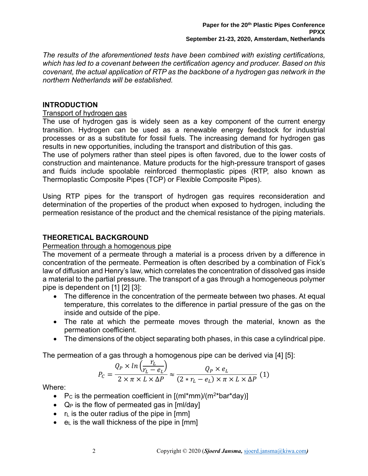*The results of the aforementioned tests have been combined with existing certifications, which has led to a covenant between the certification agency and producer. Based on this covenant, the actual application of RTP as the backbone of a hydrogen gas network in the northern Netherlands will be established.*

### **INTRODUCTION**

### Transport of hydrogen gas

The use of hydrogen gas is widely seen as a key component of the current energy transition. Hydrogen can be used as a renewable energy feedstock for industrial processes or as a substitute for fossil fuels. The increasing demand for hydrogen gas results in new opportunities, including the transport and distribution of this gas.

The use of polymers rather than steel pipes is often favored, due to the lower costs of construction and maintenance. Mature products for the high-pressure transport of gases and fluids include spoolable reinforced thermoplastic pipes (RTP, also known as Thermoplastic Composite Pipes (TCP) or Flexible Composite Pipes).

Using RTP pipes for the transport of hydrogen gas requires reconsideration and determination of the properties of the product when exposed to hydrogen, including the permeation resistance of the product and the chemical resistance of the piping materials.

### **THEORETICAL BACKGROUND**

### Permeation through a homogenous pipe

The movement of a permeate through a material is a process driven by a difference in concentration of the permeate. Permeation is often described by a combination of Fick's law of diffusion and Henry's law, which correlates the concentration of dissolved gas inside a material to the partial pressure. The transport of a gas through a homogeneous polymer pipe is dependent on [1] [2] [3]:

- The difference in the concentration of the permeate between two phases. At equal temperature, this correlates to the difference in partial pressure of the gas on the inside and outside of the pipe.
- The rate at which the permeate moves through the material, known as the permeation coefficient.
- The dimensions of the object separating both phases, in this case a cylindrical pipe.

The permeation of a gas through a homogenous pipe can be derived via [4] [5]:

$$
P_C = \frac{Q_P \times ln\left(\frac{r_L}{r_L - e_L}\right)}{2 \times \pi \times L \times \Delta P} \approx \frac{Q_P \times e_L}{(2 * r_L - e_L) \times \pi \times L \times \Delta P} (1)
$$

Where:

- P<sub>c</sub> is the permeation coefficient in  $[(ml*mm)/(m<sup>2*</sup>bar*day)]$
- $Q_P$  is the flow of permeated gas in  $[m]/day$
- $\bullet$   $r_{\text{L}}$  is the outer radius of the pipe in [mm]
- $\bullet$  e<sub>L</sub> is the wall thickness of the pipe in [mm]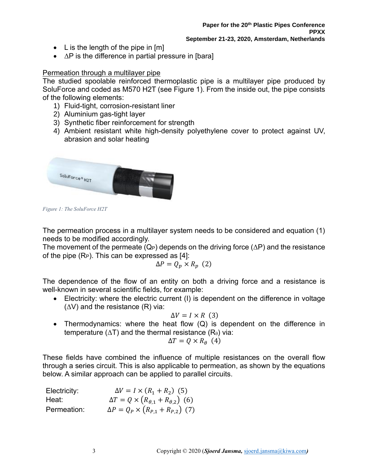- L is the length of the pipe in  $[m]$
- $\Delta P$  is the difference in partial pressure in [bara]

### Permeation through a multilayer pipe

The studied spoolable reinforced thermoplastic pipe is a multilayer pipe produced by SoluForce and coded as M570 H2T (see [Figure 1\)](#page-2-0). From the inside out, the pipe consists of the following elements:

- 1) Fluid-tight, corrosion-resistant liner
- 2) Aluminium gas-tight layer
- 3) Synthetic fiber reinforcement for strength
- 4) Ambient resistant white high-density polyethylene cover to protect against UV, abrasion and solar heating



<span id="page-2-0"></span>*Figure 1: The SoluForce H2T*

The permeation process in a multilayer system needs to be considered and equation (1) needs to be modified accordingly.

The movement of the permeate  $(Q_P)$  depends on the driving force  $(\Delta P)$  and the resistance of the pipe  $(R_P)$ . This can be expressed as  $[4]$ :

$$
\Delta P = Q_p \times R_p \quad (2)
$$

The dependence of the flow of an entity on both a driving force and a resistance is well-known in several scientific fields, for example:

• Electricity: where the electric current (I) is dependent on the difference in voltage  $(\Delta V)$  and the resistance  $(R)$  via:

$$
\Delta V = I \times R \ (3)
$$

• Thermodynamics: where the heat flow (Q) is dependent on the difference in temperature ( $\Delta T$ ) and the thermal resistance ( $R_{\theta}$ ) via:

$$
\Delta T = Q \times R_{\theta} \ (4)
$$

These fields have combined the influence of multiple resistances on the overall flow through a series circuit. This is also applicable to permeation, as shown by the equations below. A similar approach can be applied to parallel circuits.

| Electricity: | $\Delta V = I \times (R_1 + R_2)$ (5)                   |
|--------------|---------------------------------------------------------|
| Heat:        | $\Delta T = Q \times (R_{\theta,1} + R_{\theta,2})$ (6) |
| Permeation:  | $\Delta P = Q_P \times (R_{P,1} + R_{P,2})$ (7)         |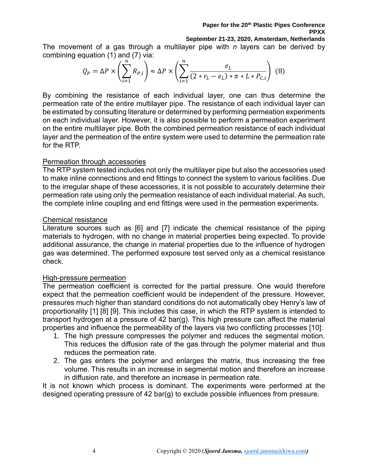#### **Paper for the 20th Plastic Pipes Conference PPXX**

#### **September 21-23, 2020, Amsterdam, Netherlands**

The movement of a gas through a multilayer pipe with *n* layers can be derived by combining equation (1) and (7) via:

$$
Q_P = \Delta P \times \left(\sum_{i=1}^n R_{P,i}\right) \approx \Delta P \times \left(\sum_{i=1}^n \frac{e_L}{(2 * r_L - e_L) * \pi * L * P_{C,i}}\right)
$$
(8)

By combining the resistance of each individual layer, one can thus determine the permeation rate of the entire multilayer pipe. The resistance of each individual layer can be estimated by consulting literature or determined by performing permeation experiments on each individual layer. However, it is also possible to perform a permeation experiment on the entire multilayer pipe. Both the combined permeation resistance of each individual layer and the permeation of the entire system were used to determine the permeation rate for the RTP.

#### Permeation through accessories

The RTP system tested includes not only the multilayer pipe but also the accessories used to make inline connections and end fittings to connect the system to various facilities. Due to the irregular shape of these accessories, it is not possible to accurately determine their permeation rate using only the permeation resistance of each individual material. As such, the complete inline coupling and end fittings were used in the permeation experiments.

### Chemical resistance

Literature sources such as [6] and [7] indicate the chemical resistance of the piping materials to hydrogen, with no change in material properties being expected. To provide additional assurance, the change in material properties due to the influence of hydrogen gas was determined. The performed exposure test served only as a chemical resistance check.

### High-pressure permeation

The permeation coefficient is corrected for the partial pressure. One would therefore expect that the permeation coefficient would be independent of the pressure. However, pressures much higher than standard conditions do not automatically obey Henry's law of proportionality [1] [8] [9]. This includes this case, in which the RTP system is intended to transport hydrogen at a pressure of 42 bar(g). This high pressure can affect the material properties and influence the permeability of the layers via two conflicting processes [10]:

- 1. The high pressure compresses the polymer and reduces the segmental motion. This reduces the diffusion rate of the gas through the polymer material and thus reduces the permeation rate.
- 2. The gas enters the polymer and enlarges the matrix, thus increasing the free volume. This results in an increase in segmental motion and therefore an increase in diffusion rate, and therefore an increase in permeation rate.

It is not known which process is dominant. The experiments were performed at the designed operating pressure of 42 bar(g) to exclude possible influences from pressure.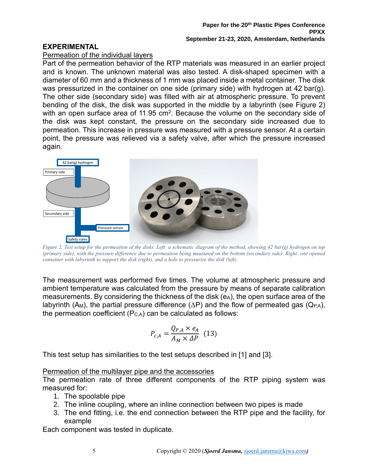# **EXPERIMENTAL**

### Permeation of the individual layers

Part of the permeation behavior of the RTP materials was measured in an earlier project and is known. The unknown material was also tested. A disk-shaped specimen with a diameter of 60 mm and a thickness of 1 mm was placed inside a metal container. The disk was pressurized in the container on one side (primary side) with hydrogen at 42 bar(g). The other side (secondary side) was filled with air at atmospheric pressure. To prevent bending of the disk, the disk was supported in the middle by a labyrinth (see [Figure 2\)](#page-4-0) with an open surface area of 11.95 cm<sup>2</sup>. Because the volume on the secondary side of the disk was kept constant, the pressure on the secondary side increased due to permeation. This increase in pressure was measured with a pressure sensor. At a certain point, the pressure was relieved via a safety valve, after which the pressure increased again.



<span id="page-4-0"></span>*Figure 2. Test setup for the permeation of the disks. Left: a schematic diagram of the method, showing 42 bar(g) hydrogen on top (primary side), with the pressure difference due to permeation being measured on the bottom (secondary side). Right: one opened container with labyrinth to support the disk (right), and a hole to pressurize the disk (left).*

The measurement was performed five times. The volume at atmospheric pressure and ambient temperature was calculated from the pressure by means of separate calibration measurements. By considering the thickness of the disk  $(e_A)$ , the open surface area of the labyrinth (A<sub>M</sub>), the partial pressure difference ( $\Delta P$ ) and the flow of permeated gas (Q<sub>PA</sub>), the permeation coefficient  $(P_{C,A})$  can be calculated as follows:

$$
P_{c,A} = \frac{Q_{P,A} \times e_A}{A_M \times \Delta P} \quad (13)
$$

This test setup has similarities to the test setups described in [1] and [3].

# Permeation of the multilayer pipe and the accessories

The permeation rate of three different components of the RTP piping system was measured for:

- 1. The spoolable pipe
- 2. The inline coupling, where an inline connection between two pipes is made
- 3. The end fitting, i.e. the end connection between the RTP pipe and the facility, for example

Each component was tested in duplicate.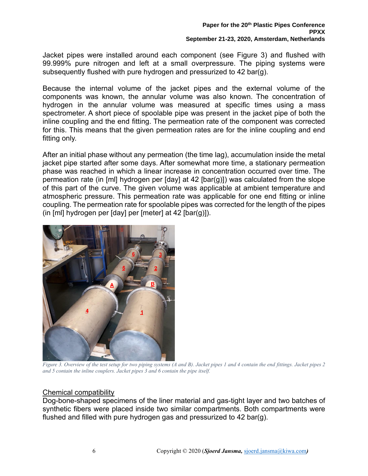Jacket pipes were installed around each component (see [Figure 3\)](#page-5-0) and flushed with 99.999% pure nitrogen and left at a small overpressure. The piping systems were subsequently flushed with pure hydrogen and pressurized to 42 bar(g).

Because the internal volume of the jacket pipes and the external volume of the components was known, the annular volume was also known. The concentration of hydrogen in the annular volume was measured at specific times using a mass spectrometer. A short piece of spoolable pipe was present in the jacket pipe of both the inline coupling and the end fitting. The permeation rate of the component was corrected for this. This means that the given permeation rates are for the inline coupling and end fitting only.

After an initial phase without any permeation (the time lag), accumulation inside the metal jacket pipe started after some days. After somewhat more time, a stationary permeation phase was reached in which a linear increase in concentration occurred over time. The permeation rate (in [ml] hydrogen per  $\lceil \text{day} \rceil$  at 42  $\lceil \text{bar}(q) \rceil$ ) was calculated from the slope of this part of the curve. The given volume was applicable at ambient temperature and atmospheric pressure. This permeation rate was applicable for one end fitting or inline coupling. The permeation rate for spoolable pipes was corrected for the length of the pipes (in [ml] hydrogen per [day] per [meter] at 42 [bar(g)]).



*Figure 3. Overview of the test setup for two piping systems (A and B). Jacket pipes 1 and 4 contain the end fittings. Jacket pipes 2 and 5 contain the inline couplers. Jacket pipes 3 and 6 contain the pipe itself.*

#### <span id="page-5-0"></span>Chemical compatibility

Dog-bone-shaped specimens of the liner material and gas-tight layer and two batches of synthetic fibers were placed inside two similar compartments. Both compartments were flushed and filled with pure hydrogen gas and pressurized to 42 bar(g).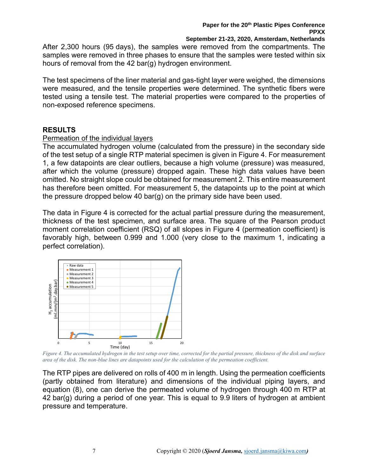**September 21-23, 2020, Amsterdam, Netherlands**

After 2,300 hours (95 days), the samples were removed from the compartments. The samples were removed in three phases to ensure that the samples were tested within six hours of removal from the 42 bar(g) hydrogen environment.

The test specimens of the liner material and gas-tight layer were weighed, the dimensions were measured, and the tensile properties were determined. The synthetic fibers were tested using a tensile test. The material properties were compared to the properties of non-exposed reference specimens.

# **RESULTS**

# Permeation of the individual layers

The accumulated hydrogen volume (calculated from the pressure) in the secondary side of the test setup of a single RTP material specimen is given in [Figure 4.](#page-6-0) For measurement 1, a few datapoints are clear outliers, because a high volume (pressure) was measured, after which the volume (pressure) dropped again. These high data values have been omitted. No straight slope could be obtained for measurement 2. This entire measurement has therefore been omitted. For measurement 5, the datapoints up to the point at which the pressure dropped below 40 bar(g) on the primary side have been used.

The data in [Figure 4](#page-6-0) is corrected for the actual partial pressure during the measurement, thickness of the test specimen, and surface area. The square of the Pearson product moment correlation coefficient (RSQ) of all slopes in [Figure 4](#page-6-0) (permeation coefficient) is favorably high, between 0.999 and 1.000 (very close to the maximum 1, indicating a perfect correlation).



<span id="page-6-0"></span>*Figure 4. The accumulated hydrogen in the test setup over time, corrected for the partial pressure, thickness of the disk and surface area of the disk. The non-blue lines are datapoints used for the calculation of the permeation coefficient.*

The RTP pipes are delivered on rolls of 400 m in length. Using the permeation coefficients (partly obtained from literature) and dimensions of the individual piping layers, and equation (8), one can derive the permeated volume of hydrogen through 400 m RTP at 42 bar(g) during a period of one year. This is equal to 9.9 liters of hydrogen at ambient pressure and temperature.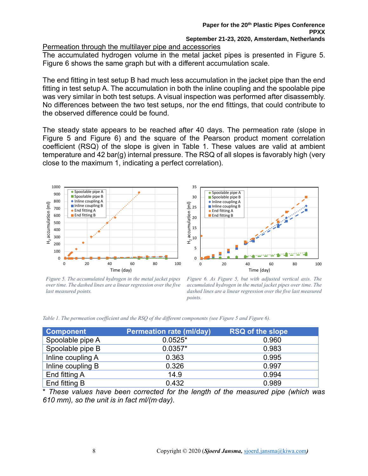#### Permeation through the multilayer pipe and accessories

The accumulated hydrogen volume in the metal jacket pipes is presented in [Figure 5.](#page-7-0) [Figure](#page-7-1) 6 shows the same graph but with a different accumulation scale.

The end fitting in test setup B had much less accumulation in the jacket pipe than the end fitting in test setup A. The accumulation in both the inline coupling and the spoolable pipe was very similar in both test setups. A visual inspection was performed after disassembly. No differences between the two test setups, nor the end fittings, that could contribute to the observed difference could be found.

The steady state appears to be reached after 40 days. The permeation rate (slope in [Figure 5](#page-7-0) and [Figure](#page-7-1) 6) and the square of the Pearson product moment correlation coefficient (RSQ) of the slope is given in [Table 1.](#page-7-2) These values are valid at ambient temperature and 42 bar(g) internal pressure. The RSQ of all slopes is favorably high (very close to the maximum 1, indicating a perfect correlation).





<span id="page-7-0"></span>*Figure 5. The accumulated hydrogen in the metal jacket pipes over time. The dashed lines are a linear regression over the five last measured points.*

<span id="page-7-1"></span>*Figure 6. As [Figure 5,](#page-7-0) but with adjusted vertical axis. The accumulated hydrogen in the metal jacket pipes over time. The dashed lines are a linear regression over the five last measured points.*

<span id="page-7-2"></span>

|  |  |  |  | Table 1. The permeation coefficient and the RSQ of the different components (see Figure 5 and Figure 6). |  |  |  |
|--|--|--|--|----------------------------------------------------------------------------------------------------------|--|--|--|
|  |  |  |  |                                                                                                          |  |  |  |

| <b>Component</b>  | <b>Permeation rate (ml/day)</b> | <b>RSQ of the slope</b> |
|-------------------|---------------------------------|-------------------------|
| Spoolable pipe A  | $0.0525*$                       | 0.960                   |
| Spoolable pipe B  | $0.0357*$                       | 0.983                   |
| Inline coupling A | 0.363                           | 0.995                   |
| Inline coupling B | 0.326                           | 0.997                   |
| End fitting A     | 14.9                            | 0.994                   |
| End fitting B     | 0.432                           | 0.989                   |

\* *These values have been corrected for the length of the measured pipe (which was 610 mm), so the unit is in fact ml/(m∙day).*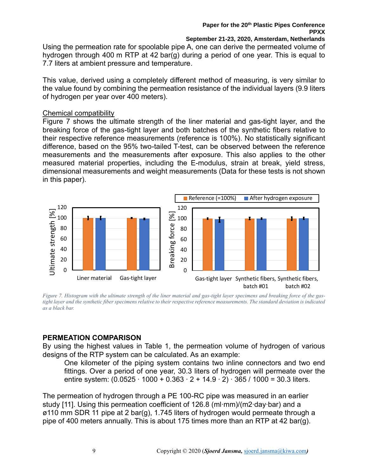Using the permeation rate for spoolable pipe A, one can derive the permeated volume of hydrogen through 400 m RTP at 42 bar(g) during a period of one year. This is equal to 7.7 liters at ambient pressure and temperature.

This value, derived using a completely different method of measuring, is very similar to the value found by combining the permeation resistance of the individual layers (9.9 liters of hydrogen per year over 400 meters).

#### Chemical compatibility

[Figure 7](#page-8-0) shows the ultimate strength of the liner material and gas-tight layer, and the breaking force of the gas-tight layer and both batches of the synthetic fibers relative to their respective reference measurements (reference is 100%). No statistically significant difference, based on the 95% two-tailed T-test, can be observed between the reference measurements and the measurements after exposure. This also applies to the other measured material properties, including the E-modulus, strain at break, yield stress, dimensional measurements and weight measurements (Data for these tests is not shown in this paper).



<span id="page-8-0"></span>*Figure 7. Histogram with the ultimate strength of the liner material and gas-tight layer specimens and breaking force of the gastight layer and the synthetic fiber specimens relative to their respective reference measurements. The standard deviation is indicated as a black bar.*

# **PERMEATION COMPARISON**

By using the highest values in [Table 1,](#page-7-2) the permeation volume of hydrogen of various designs of the RTP system can be calculated. As an example:

One kilometer of the piping system contains two inline connectors and two end fittings. Over a period of one year, 30.3 liters of hydrogen will permeate over the entire system: (0.0525 ∙ 1000 + 0.363 ∙ 2 + 14.9 ∙ 2) ∙ 365 / 1000 = 30.3 liters.

The permeation of hydrogen through a PE 100-RC pipe was measured in an earlier study [11]. Using this permeation coefficient of 126.8 (ml∙mm)/(m2∙day∙bar) and a ø110 mm SDR 11 pipe at 2 bar(g), 1.745 liters of hydrogen would permeate through a pipe of 400 meters annually. This is about 175 times more than an RTP at 42 bar(g).